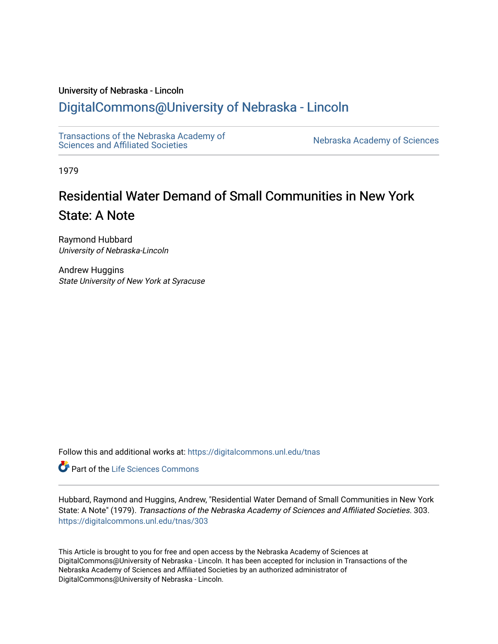## University of Nebraska - Lincoln

## [DigitalCommons@University of Nebraska - Lincoln](https://digitalcommons.unl.edu/)

[Transactions of the Nebraska Academy of](https://digitalcommons.unl.edu/tnas)  Transactions of the Nebraska Academy of Sciences<br>Sciences and Affiliated Societies

1979

# Residential Water Demand of Small Communities in New York State: A Note

Raymond Hubbard University of Nebraska-Lincoln

Andrew Huggins State University of New York at Syracuse

Follow this and additional works at: [https://digitalcommons.unl.edu/tnas](https://digitalcommons.unl.edu/tnas?utm_source=digitalcommons.unl.edu%2Ftnas%2F303&utm_medium=PDF&utm_campaign=PDFCoverPages) 

**Part of the Life Sciences Commons** 

Hubbard, Raymond and Huggins, Andrew, "Residential Water Demand of Small Communities in New York State: A Note" (1979). Transactions of the Nebraska Academy of Sciences and Affiliated Societies. 303. [https://digitalcommons.unl.edu/tnas/303](https://digitalcommons.unl.edu/tnas/303?utm_source=digitalcommons.unl.edu%2Ftnas%2F303&utm_medium=PDF&utm_campaign=PDFCoverPages) 

This Article is brought to you for free and open access by the Nebraska Academy of Sciences at DigitalCommons@University of Nebraska - Lincoln. It has been accepted for inclusion in Transactions of the Nebraska Academy of Sciences and Affiliated Societies by an authorized administrator of DigitalCommons@University of Nebraska - Lincoln.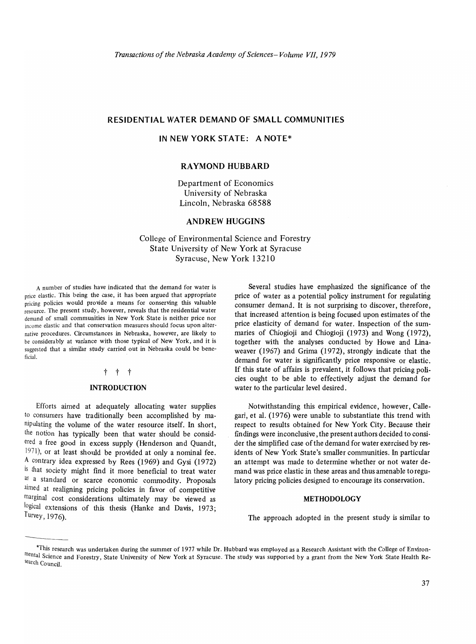## **RESIDENTIAL WATER DEMAND OF SMALL COMMUNITIES**

## **IN NEW YORK STATE: A NOTE\***

## **RA YMOND HUBBARD**

Department of Economics University of Nebraska Lincoln, Nebraska 68588

## **ANDREW HUGGINS**

College of Environmental Science and Forestry State University of New York at Syracuse Syracuse, New York 13210

A number of studies have indicated that the demand for water is price elastic. This being the case, it has been argued that appropriate pricing policies would provide a means for conserving this valuable resource. The present study, however, reveals that the residential water demand of small communities in New York State is neither price nor income elastic and that conservation measures should focus upon alternative procedures. Circumstances in Nebraska, however, are likely to be considerably at variance with those typical of New York, and it is suggested that a similar study carried out in Nebraska could be beneficial.

#### t t t

## **INTRODUCTION**

Efforts aimed at adequately allocating water supplies to consumers have traditionally been accomplished by manipulating the volume of the water resource itself. In short, the notion has typically been that water should be considered a free good in excess supply (Henderson and Quandt, 1971), or at least should be provided at only a nominal fee. A contrary idea expressed by Rees (1969) and Gysi (1972) is that society might find it more beneficial to treat water as a standard or scarce economic commodity. Proposals aimed at realigning pricing policies in favor of competitive marginal cost considerations ultimately may be viewed as logical extensions of this thesis (Hanke and Davis, 1973; Turvey, 1976).

Several studies have emphasized the significance of the price of water as a potential policy instrument for regulating consumer demand. It is not surprising to discover, therefore, that increased attention is being focused upon estimates of the price elasticity of demand for water. Inspection of the summaries of Chiogioji and Chiogioji (1973) and Wong (1972), together with the analyses conducted by Howe and Unaweaver (1967) and Grima (1972), strongly indicate that the demand for water is significantly price responsive or elastic. If this state of affairs is prevalent, it follows that pricing policies ought to be able to effectively adjust the demand for water to the particular level desired.

Notwithstanding this empirical evidence, however, Callegari, et al. (1976) were unable to substantiate this trend with respect to results obtained for New York City. Because their findings were inconclusive, the present authors decided to consider the simplified case of the demand for water exercised by residents of New York State's smaller communities. In particular an attempt was made to determine whether or not water demand was price elastic in these areas and thus amenable to regulatory pricing policies designed to encourage its conservation.

#### **METHODOLOGY**

The approach adopted in the present study is similar to

The approach adopted in the present study is similar to<br>
<sup>\*This</sup> research was undertaken during the summer of 1977 while Dr. Hubbard was employed as a Research Assistant with the College of Environ-<br><sup>The film the Summer of</sup> mental Science and Forestry, State University of New York at Syracuse. The study was supported by a grant from the New York State Health Research Council.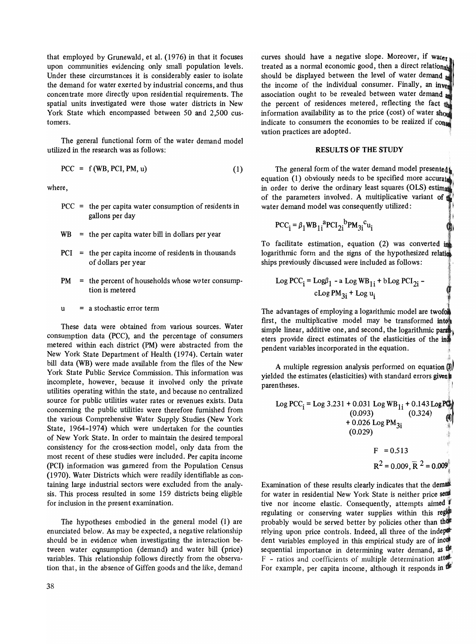that employed by Grunewald, et al. (1976) in that it focuses upon communities evidencing only small population levels. Under these circumstances it is considerably easier to isolate the demand for water exerted by industrial concerns, and thus concentrate more directly upon residential requirements. The spatial units investigated were those water districts in New York State which encompassed between 50 and 2,500 customers.

The general functional form of the water demand model utilized in the research was as follows:

$$
PCC = f(WB, PCI, PM, u)
$$
 (1)

where,

- $PCC =$  the per capita water consumption of residents in gallons per day
- $WB =$  the per capita water bill in dollars per year
- PCI = the per capita income of residents in thousands of dollars per year
- $PM =$  the percent of households whose water consumption is metered
- $u = a$  stochastic error term

These data were obtained from various sources. Water consumption data (PCC), and the percentage of consumers metered within each district (PM) were abstracted from the New York State Department of Health (1974). Certain water bill data (WB) were made available from the files of the New York State Public Service Commission. This information was incomplete, however, because it involved only the private utilities operating within the state, and because no centralized source for public utilities water rates or revenues exists. Data concerning the public utilities were therefore furnished from the various Comprehensive Water Supply Studies (New York State, 1964-1974) which were undertaken for the counties of New York State. In order to maintain the desired temporal consistency for the cross-section model, only data from the most recent of these studies were included. Per capita income (pCI) information was garnered from the Population Census (1970). Water Districts which were readily identifiable as containing large industrial sectors were excluded from the analysis. This process resulted in some 159 districts being eligible for inclusion in the present examination.

The hypotheses embodied in the general model (1) are enunciated below. As may be expected, a negative relationship should be in evidence when investigating the interaction between water consumption (demand) and water bill (price) variables. This relationship follows directly from the observation that, in the absence of Giffen goods and the like, demand curves should have a negative slope. Moreover, if water treated as a normal economic good, then a direct relationship should be displayed between the level of water demand the income of the individual consumer. Finally, an inver association ought to be revealed between water demand a the percent of residences metered, reflecting the fact the information availability as to the price (cost) of water  $sh_{01}$ indicate to consumers the economies to be realized if  $\text{con}$ vation practices are adopted.

## RESULTS OF THE STUDY

The general form of the water demand model presented: equation (1) obviously needs to be specified more accurate in order to derive the ordinary least squares (OLS) estimates of the parameters involved. A multiplicative variant of  $\uparrow$ water demand model was consequently utilized:

$$
PCC_i = \beta_1 W B_{1i}^{\text{a}} P C I_{2i}^{\text{b}} P M_{3i}^{\text{c}} u_i
$$

To facilitate estimation, equation  $(2)$  was converted in logarithmic form and the signs of the hypothesized relation ships previously discussed were included as follows:

Log 
$$
PCC_i = Log\beta_1 - a Log WB_{1i} + bLog PCI_{2i} - cLog PM_{3i} + Log u_i
$$

The advantages of employing a logarithmic model are twofor first, the multiplicative model may be transformed into simple linear, additive one, and second, the logarithmic para eters provide direct estimates of the elasticities of the in pendent variables incorporated in the equation.

A multiple regression analysis performed on equation  $\left( \mathbf{\hat{s}}\right)$ yielded the estimates (elasticities) with standard errors given parentheses.

 $\sim$ 

Log PCC<sub>i</sub> = Log 3.231 + 0.031 Log WB<sub>1i</sub> + 0.143 LogPD<sub>i</sub>  
\n(0.093)  
\n+ 0.026 Log PM<sub>3i</sub>  
\n(0.029)  
\nF = 0.513  
\n
$$
R^2 = 0.009, R^2 = 0.009
$$

Examination of these results clearly indicates that the demail for water in residential New York State is neither price send tive nor income elastic. Consequently, attempts aimed regulating or conserving water supplies within this region probably would be served better by policies other than the relying upon price controls. Indeed, all three of the indeperdent variables employed in this empirical study are of inco sequential importance in determining water demand, as  $\mathbf{w}$  $F$  - ratios and coefficients of multiple determination atter-For example, per capita income, although it responds in d<sup>1</sup>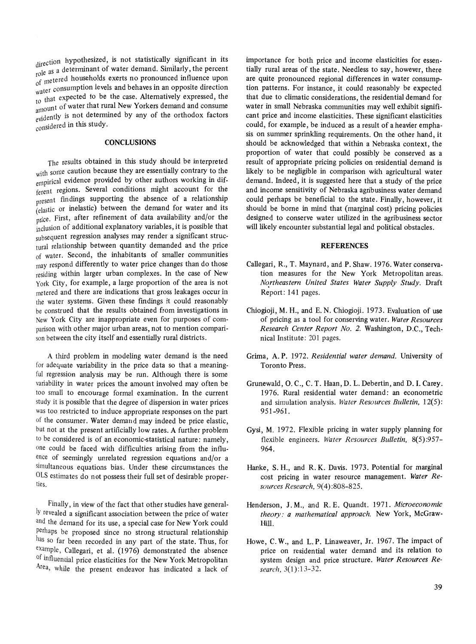direction hypothesized, is not statistically significant in its role as a determinant of water demand. Similarly, the percent referred households exerts no pronounced influence upon water consumption levels and behaves in an opposite direction to that expected to be the case. Alternatively expressed, the unt of water that rural New Yorkers demand and consume evidently is not determined by any of the orthodox factors considered in this study.  $\frac{1}{20}$  that expected to be impount of water that runder that runder that runder that runder that  $\frac{1}{20}$  is not determined the study.

## **CONCLUSIONS**

The results obtained in this study should be interpreted with some caution because they are essentially contrary to the empirical evidence provided by other authors working in different regions. Several conditions might account for the present findings supporting the absence of a relationship (elastic or inelastic) between the demand for water and its price. First, after refinement of data availability and/or the inclusion of additional explanatory variables, it is possible that subsequent regression analyses may render a significant structural relationship between quantity demanded and the price of water. Second, the inhabitants of smaller communities may respond differently to water price changes than do those residing within larger urban complexes. **In** the case of New York City, for example, a large proportion of the area is not metered and there are indications that gross leakages occur in the water systems. Given these findings it could reasonably be construed that the results obtained from investigations in New York City are inappropriate even for purposes of comparison with other major urban areas, not to mention comparison between the city itself and essentially rural districts.

A third problem in modeling water demand is the need for adequate variability in the price data so that a meaningful regression analysis may be run. Although there is some variability in water prices the amount involved may often be too small to encourage formal examination. **In** the current study it is possible that the degree of dispersion in water prices was too restricted to induce appropriate responses on the part of the consumer. Water demand may indeed be price elastic, but not at the present artificially low rates. A further problem to be considered is of an economic-statistical nature: namely, one could be faced with difficulties arising from the influence of seemingly unrelated regression equations and/or a simultaneous equations bias. Under these circumstances the OLS estimates do not possess their full set of desirable properties.

Finally, in view of the fact that other studies have generally revealed a significant association between the price of water and the demand for its use, a special case for New York could perhaps be proposed since no strong structural relationship has so far been recorded in any part of the state. Thus, for example, Callegari, et al. (1976) demonstrated the absence of influential price elasticities for the New York Metropolitan Area, while the present endeavor has indicated a lack of importance for both price and income elasticities for essentially rural areas of the state. Needless to say, however, there are quite pronounced regional differences in water consumption patterns. For instance, it could reasonably be expected that due to climatic considerations, the residential demand for water in small Nebraska communities may well exhibit significant price and income elasticities. These significant elasticities could, for example, be induced as a result of a heavier emphasis on summer sprinkling requirements. On the other hand, it should be acknowledged that within a Nebraska context, the proportion of water that could possibly be conserved as a result of appropriate pricing policies on residential demand is likely to be negligible in comparison with agricultural water demand. Indeed, it is suggested here that a study of the price and income sensitivity of Nebraska agribusiness water demand could perhaps be beneficial to the state. Finally, however, it should be borne in mind that (marginal cost) pricing policies designed to conserve water utilized in the agribusiness sector will likely encounter substantial legal and political obstacles.

#### **REFERENCES**

- Callegari, R., T. Maynard, and P. Shaw. 1976. Water conservation measures for the New York Metropolitan areas. *No.rtheastern United States Water Supply Study.* Draft Report: 141 pages.
- Chiogioji, M. H., and E. N. Chiogioji. 1973. Evaluation of use of pricing as a tool for conserving water. *Water Resources Research Center Report No.2.* Washington, D.C., Technical Institute: 201 pages.
- Grima, A. P. 1972. *Residential water demand.* University of Toronto Press.
- Grunewald, O. C., C. T. Haan, D. L. Debertin, and D. I. Carey. 1976. Rural residential water demand: an econometric and simulation analysis. *Water Resources Bulletin, 12(5):*  951-961.
- Gysi, M. 1972. Flexible pricing in water supply planning for flexible engineers. *Water Resources Bulletin,* 8(5):957- 964.
- Hanke, S. H., and R. K. Davis. 1973. Potential for marginal cost pricing in water resource management. *Water Resources Research,* 9(4) :808-825.
- Henderson, J. M., and R. E. Quandt. 1971. *Microeconomic theory: a mathematical approach.* New York, McGraw-Hill.
- Howe, C. W., and L. P. Linaweaver, Jr. 1967. The impact of price on residential water demand and its relation to system design and price structure. *Water Resources Research,3(1):13-32.*